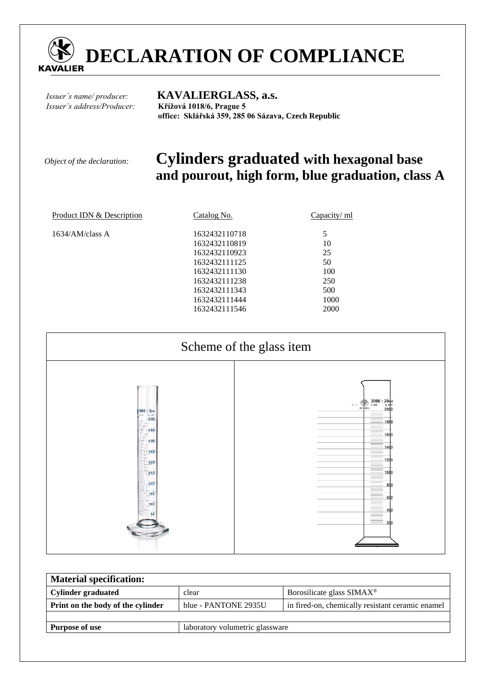

*Issuer´s address/Producer:* **Křížová 1018/6, Prague 5** 

# *Issuer´s name/ producer:* **KAVALIERGLASS, a.s.**

 **office: Sklářská 359, 285 06 Sázava, Czech Republic** 

## *Object of the declaration:* **Cylinders graduated with hexagonal base and pourout, high form, blue graduation, class A**

| Product IDN & Description | Catalog No.                    | Capacity/ ml |
|---------------------------|--------------------------------|--------------|
| $1634/AM$ /class A        | 1632432110718                  | 5            |
|                           | 1632432110819<br>1632432110923 | 10<br>25     |
|                           | 1632432111125<br>1632432111130 | 50<br>100    |
|                           | 1632432111238                  | 250          |
|                           | 1632432111343<br>1632432111444 | 500<br>1000  |
|                           | 1632432111546                  | 2000         |



| <b>Material specification:</b>    |                                 |                                                  |  |  |  |
|-----------------------------------|---------------------------------|--------------------------------------------------|--|--|--|
| Cylinder graduated                | clear                           | Borosilicate glass SIMAX <sup>®</sup>            |  |  |  |
| Print on the body of the cylinder | blue - PANTONE 2935U            | in fired-on, chemically resistant ceramic enamel |  |  |  |
|                                   |                                 |                                                  |  |  |  |
| <b>Purpose of use</b>             | laboratory volumetric glassware |                                                  |  |  |  |
|                                   |                                 |                                                  |  |  |  |